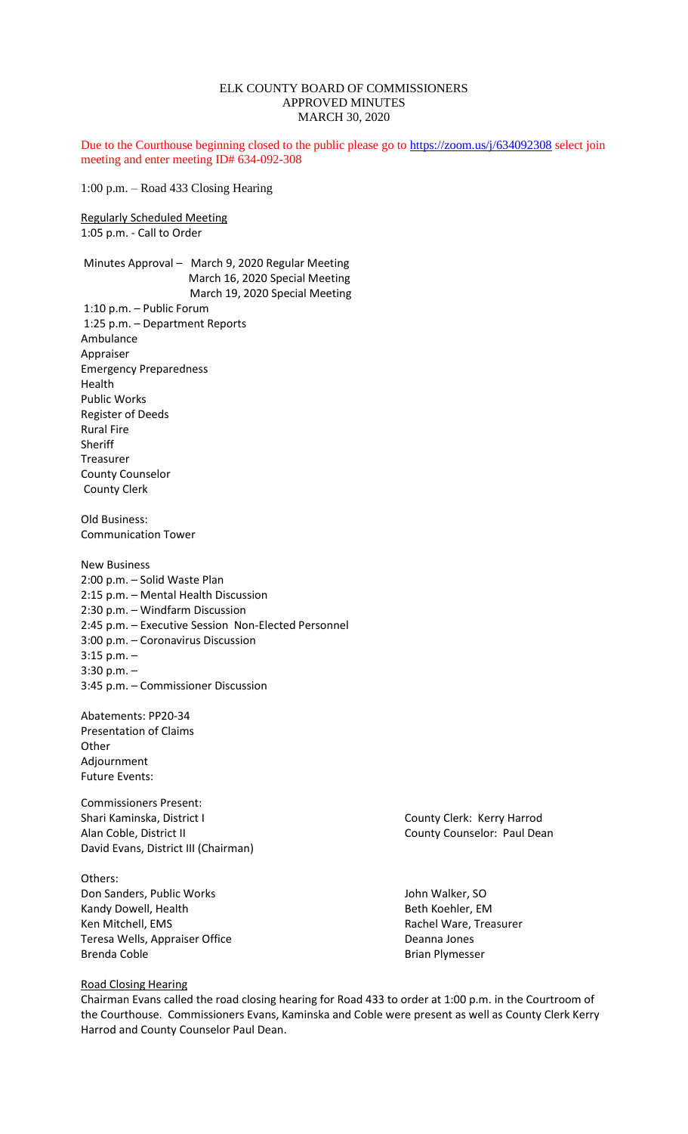# ELK COUNTY BOARD OF COMMISSIONERS APPROVED MINUTES MARCH 30, 2020

Due to the Courthouse beginning closed to the public please go to<https://zoom.us/j/634092308> select join meeting and enter meeting ID# 634-092-308

1:00 p.m. – Road 433 Closing Hearing

Regularly Scheduled Meeting 1:05 p.m. - Call to Order

Minutes Approval – March 9, 2020 Regular Meeting March 16, 2020 Special Meeting March 19, 2020 Special Meeting 1:10 p.m. – Public Forum 1:25 p.m. – Department Reports Ambulance Appraiser Emergency Preparedness Health Public Works Register of Deeds Rural Fire Sheriff Treasurer County Counselor County Clerk Old Business: Communication Tower New Business 2:00 p.m. – Solid Waste Plan 2:15 p.m. – Mental Health Discussion 2:30 p.m. – Windfarm Discussion 2:45 p.m. – Executive Session Non-Elected Personnel 3:00 p.m. – Coronavirus Discussion

3:15 p.m. – 3:30 p.m. – 3:45 p.m. – Commissioner Discussion

Abatements: PP20-34 Presentation of Claims **Other** Adjournment Future Events:

Commissioners Present: Shari Kaminska, District I County Clerk: Kerry Harrod Alan Coble, District II County County Counselor: Paul Dean David Evans, District III (Chairman)

Others: Don Sanders, Public Works John Walker, SO Kandy Dowell, Health Beth Koehler, EM Ken Mitchell, EMS Rachel Ware, Treasurer Teresa Wells, Appraiser Office **Deanna Jones** Deanna Jones Brenda Coble **Brian Plymesser** 

## Road Closing Hearing

Chairman Evans called the road closing hearing for Road 433 to order at 1:00 p.m. in the Courtroom of the Courthouse. Commissioners Evans, Kaminska and Coble were present as well as County Clerk Kerry Harrod and County Counselor Paul Dean.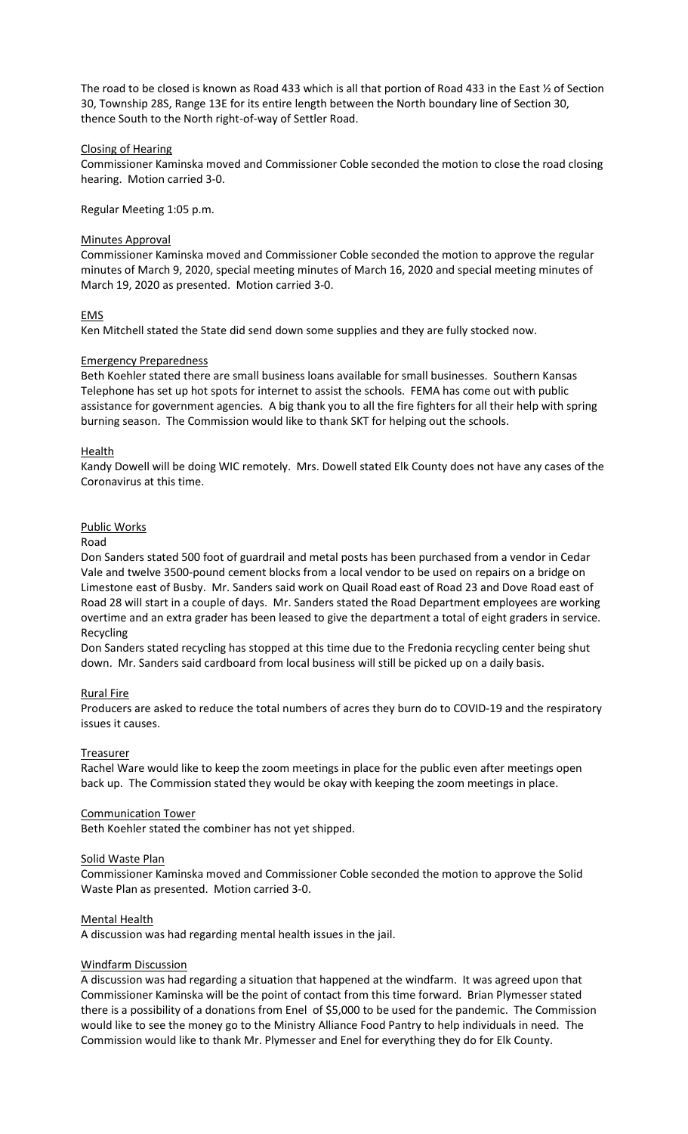The road to be closed is known as Road 433 which is all that portion of Road 433 in the East ½ of Section 30, Township 28S, Range 13E for its entire length between the North boundary line of Section 30, thence South to the North right-of-way of Settler Road.

# Closing of Hearing

Commissioner Kaminska moved and Commissioner Coble seconded the motion to close the road closing hearing. Motion carried 3-0.

Regular Meeting 1:05 p.m.

## Minutes Approval

Commissioner Kaminska moved and Commissioner Coble seconded the motion to approve the regular minutes of March 9, 2020, special meeting minutes of March 16, 2020 and special meeting minutes of March 19, 2020 as presented. Motion carried 3-0.

# EMS

Ken Mitchell stated the State did send down some supplies and they are fully stocked now.

# Emergency Preparedness

Beth Koehler stated there are small business loans available for small businesses. Southern Kansas Telephone has set up hot spots for internet to assist the schools. FEMA has come out with public assistance for government agencies. A big thank you to all the fire fighters for all their help with spring burning season. The Commission would like to thank SKT for helping out the schools.

# **Health**

Kandy Dowell will be doing WIC remotely. Mrs. Dowell stated Elk County does not have any cases of the Coronavirus at this time.

# Public Works

## Road

Don Sanders stated 500 foot of guardrail and metal posts has been purchased from a vendor in Cedar Vale and twelve 3500-pound cement blocks from a local vendor to be used on repairs on a bridge on Limestone east of Busby. Mr. Sanders said work on Quail Road east of Road 23 and Dove Road east of Road 28 will start in a couple of days. Mr. Sanders stated the Road Department employees are working overtime and an extra grader has been leased to give the department a total of eight graders in service. Recycling

Don Sanders stated recycling has stopped at this time due to the Fredonia recycling center being shut down. Mr. Sanders said cardboard from local business will still be picked up on a daily basis.

## Rural Fire

Producers are asked to reduce the total numbers of acres they burn do to COVID-19 and the respiratory issues it causes.

## Treasurer

Rachel Ware would like to keep the zoom meetings in place for the public even after meetings open back up. The Commission stated they would be okay with keeping the zoom meetings in place.

## Communication Tower

Beth Koehler stated the combiner has not yet shipped.

# Solid Waste Plan

Commissioner Kaminska moved and Commissioner Coble seconded the motion to approve the Solid Waste Plan as presented. Motion carried 3-0.

## Mental Health

A discussion was had regarding mental health issues in the jail.

# Windfarm Discussion

A discussion was had regarding a situation that happened at the windfarm. It was agreed upon that Commissioner Kaminska will be the point of contact from this time forward. Brian Plymesser stated there is a possibility of a donations from Enel of \$5,000 to be used for the pandemic. The Commission would like to see the money go to the Ministry Alliance Food Pantry to help individuals in need. The Commission would like to thank Mr. Plymesser and Enel for everything they do for Elk County.